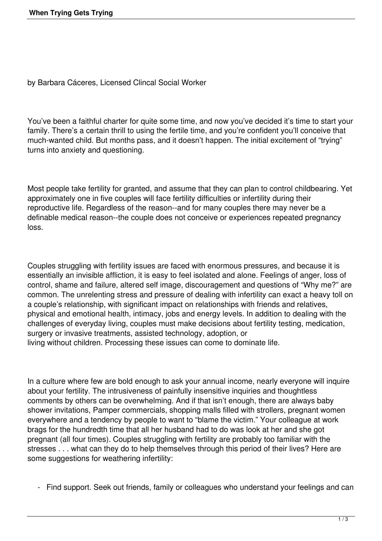by Barbara Cáceres, Licensed Clincal Social Worker

You've been a faithful charter for quite some time, and now you've decided it's time to start your family. There's a certain thrill to using the fertile time, and you're confident you'll conceive that much-wanted child. But months pass, and it doesn't happen. The initial excitement of "trying" turns into anxiety and questioning.

Most people take fertility for granted, and assume that they can plan to control childbearing. Yet approximately one in five couples will face fertility difficulties or infertility during their reproductive life. Regardless of the reason--and for many couples there may never be a definable medical reason--the couple does not conceive or experiences repeated pregnancy loss.

Couples struggling with fertility issues are faced with enormous pressures, and because it is essentially an invisible affliction, it is easy to feel isolated and alone. Feelings of anger, loss of control, shame and failure, altered self image, discouragement and questions of "Why me?" are common. The unrelenting stress and pressure of dealing with infertility can exact a heavy toll on a couple's relationship, with significant impact on relationships with friends and relatives, physical and emotional health, intimacy, jobs and energy levels. In addition to dealing with the challenges of everyday living, couples must make decisions about fertility testing, medication, surgery or invasive treatments, assisted technology, adoption, or living without children. Processing these issues can come to dominate life.

In a culture where few are bold enough to ask your annual income, nearly everyone will inquire about your fertility. The intrusiveness of painfully insensitive inquiries and thoughtless comments by others can be overwhelming. And if that isn't enough, there are always baby shower invitations, Pamper commercials, shopping malls filled with strollers, pregnant women everywhere and a tendency by people to want to "blame the victim." Your colleague at work brags for the hundredth time that all her husband had to do was look at her and she got pregnant (all four times). Couples struggling with fertility are probably too familiar with the stresses . . . what can they do to help themselves through this period of their lives? Here are some suggestions for weathering infertility:

- Find support. Seek out friends, family or colleagues who understand your feelings and can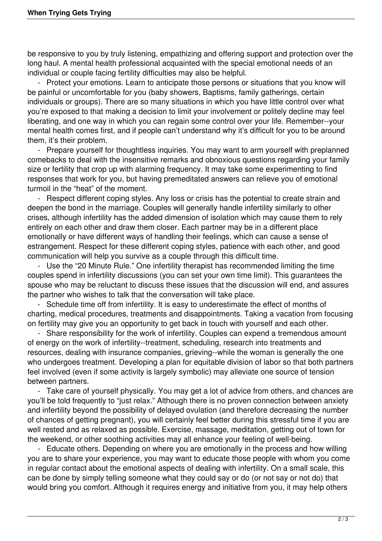be responsive to you by truly listening, empathizing and offering support and protection over the long haul. A mental health professional acquainted with the special emotional needs of an individual or couple facing fertility difficulties may also be helpful.

 - Protect your emotions. Learn to anticipate those persons or situations that you know will be painful or uncomfortable for you (baby showers, Baptisms, family gatherings, certain individuals or groups). There are so many situations in which you have little control over what you're exposed to that making a decision to limit your involvement or politely decline may feel liberating, and one way in which you can regain some control over your life. Remember--your mental health comes first, and if people can't understand why it's difficult for you to be around them, it's their problem.

 - Prepare yourself for thoughtless inquiries. You may want to arm yourself with preplanned comebacks to deal with the insensitive remarks and obnoxious questions regarding your family size or fertility that crop up with alarming frequency. It may take some experimenting to find responses that work for you, but having premeditated answers can relieve you of emotional turmoil in the "heat" of the moment.

 - Respect different coping styles. Any loss or crisis has the potential to create strain and deepen the bond in the marriage. Couples will generally handle infertility similarly to other crises, although infertility has the added dimension of isolation which may cause them to rely entirely on each other and draw them closer. Each partner may be in a different place emotionally or have different ways of handling their feelings, which can cause a sense of estrangement. Respect for these different coping styles, patience with each other, and good communication will help you survive as a couple through this difficult time.

Use the "20 Minute Rule." One infertility therapist has recommended limiting the time couples spend in infertility discussions (you can set your own time limit). This guarantees the spouse who may be reluctant to discuss these issues that the discussion will end, and assures the partner who wishes to talk that the conversation will take place.

 - Schedule time off from infertility. It is easy to underestimate the effect of months of charting, medical procedures, treatments and disappointments. Taking a vacation from focusing on fertility may give you an opportunity to get back in touch with yourself and each other.

 - Share responsibility for the work of infertility. Couples can expend a tremendous amount of energy on the work of infertility--treatment, scheduling, research into treatments and resources, dealing with insurance companies, grieving--while the woman is generally the one who undergoes treatment. Developing a plan for equitable division of labor so that both partners feel involved (even if some activity is largely symbolic) may alleviate one source of tension between partners.

 - Take care of yourself physically. You may get a lot of advice from others, and chances are you'll be told frequently to "just relax." Although there is no proven connection between anxiety and infertility beyond the possibility of delayed ovulation (and therefore decreasing the number of chances of getting pregnant), you will certainly feel better during this stressful time if you are well rested and as relaxed as possible. Exercise, massage, meditation, getting out of town for the weekend, or other soothing activities may all enhance your feeling of well-being.

 - Educate others. Depending on where you are emotionally in the process and how willing you are to share your experience, you may want to educate those people with whom you come in regular contact about the emotional aspects of dealing with infertility. On a small scale, this can be done by simply telling someone what they could say or do (or not say or not do) that would bring you comfort. Although it requires energy and initiative from you, it may help others